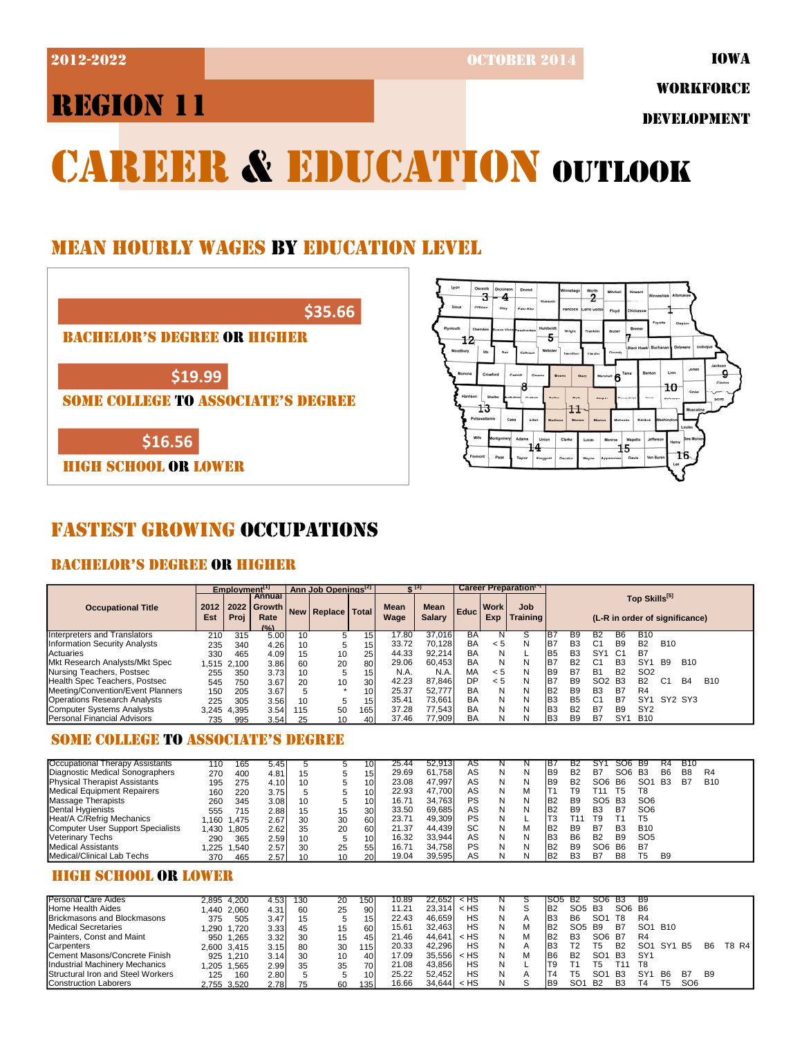2012-2022 OCTOBER 2014

# REGION 11

WORKFORCE

DEVELOPMENT

# **CAREER & EDUCATION OUTLOOK**

## MEAN HOURLY WAGES BY EDUCATION LEVEL

**\$35.66**

#### BACHELOR'S DEGREE OR HIGHER

**\$19.99**

SOME COLLEGE TO ASSOCIATE'S DEGREE

**\$16.56**

HIGH SCHOOL OR LOWER



## FASTEST GROWING OCCUPATIONS

## BACHELOR'S DEGREE OR HIGHER

|                                           |             | Employment <sup>[1]</sup> |                                                |    | Ann Job Openings <sup>[2]</sup> |                 |              | $2^{15}$                     |                   | Career Preparation <sup>17</sup> |                        |                       |                |                 |                 |                 |                |                                |            |  |  |  |  |  |
|-------------------------------------------|-------------|---------------------------|------------------------------------------------|----|---------------------------------|-----------------|--------------|------------------------------|-------------------|----------------------------------|------------------------|-----------------------|----------------|-----------------|-----------------|-----------------|----------------|--------------------------------|------------|--|--|--|--|--|
| <b>Occupational Title</b>                 | 2012<br>Est | Proi                      | Annual<br>2022 Growth<br>Rate<br>$(0/\lambda)$ |    | New Replace   Total             |                 | Mean<br>Wage | <b>Mean</b><br><b>Salary</b> | Educ <sup>1</sup> | <b>Work</b><br>Exp               | Job<br><b>Training</b> |                       |                |                 |                 | Top Skills[5]   |                | (L-R in order of significance) |            |  |  |  |  |  |
| Interpreters and Translators              | 210         | 315                       | 5.00                                           | 10 | 5                               | 15              | 17.80        | 37.016                       | BA                |                                  |                        | IB <sub>7</sub>       | B9             | B2              | B <sub>6</sub>  | <b>B10</b>      |                |                                |            |  |  |  |  |  |
| Information Security Analysts             | 235         | 340                       | 4.26                                           | 10 | 5                               | 15 <sub>l</sub> | 33.72        | 70.128                       | BA                | < 5                              | N                      | <b>B</b> 7            | B <sub>3</sub> | C1              | B <sub>9</sub>  | B <sub>2</sub>  | <b>B10</b>     |                                |            |  |  |  |  |  |
| <b>Actuaries</b>                          | 330         | 465                       | 4.09                                           | 15 | 10                              | 25              | 44.33        | 92.214                       | BA                | Ν                                |                        | B <sub>5</sub>        | B <sub>3</sub> | SY'             | C1              | B7              |                |                                |            |  |  |  |  |  |
| Mkt Research Analysts/Mkt Spec            | .515        | 2.100                     | 3.86                                           | 60 | 20                              | 80              | 29.06        | 60.453                       | BA                | Ν                                | N                      | B <sub>7</sub>        | <b>B2</b>      | C1              | B <sub>3</sub>  | SY <sub>1</sub> | <b>B</b> 9     | <b>B10</b>                     |            |  |  |  |  |  |
| Nursing Teachers, Postsec                 | 255         | 350                       | 3.73                                           | 10 | 5                               | 15 <sub>l</sub> | N.A.         | N.A.                         | MA                | < 5                              | N                      | <b>B</b> <sub>9</sub> | B7             | B1              | <b>B2</b>       | SO <sub>2</sub> |                |                                |            |  |  |  |  |  |
| Health Spec Teachers, Postsec             | 545         | 750                       | 3.67                                           | 20 | 10                              | 30 <sup>1</sup> | 42.23        | 87.846                       | DP                | < 5                              | N                      | <b>B</b> 7            | <b>B9</b>      | SO <sub>2</sub> | <b>B3</b>       | <b>B2</b>       | C <sub>1</sub> | <b>B4</b>                      | <b>B10</b> |  |  |  |  |  |
| <b>IMeeting/Convention/Event Planners</b> | 150         | 205                       | 3.67                                           |    |                                 | 10 <sup>1</sup> | 25.37        | 52.777                       | BA                | Ν                                | N                      | B <sub>2</sub>        | B <sub>9</sub> | B <sub>3</sub>  | B7              | R4              |                |                                |            |  |  |  |  |  |
| <b>Operations Research Analysts</b>       | 225         | 305                       | 3.56                                           | 10 | 5                               | 15              | 35.41        | 73.661                       | BA                | Ν                                | N                      | <b>B</b> 3            | <b>B5</b>      | C1              | B7              | SY <sub>1</sub> | SY2 SY3        |                                |            |  |  |  |  |  |
| Computer Systems Analysts                 | 3.245       | 4.395                     | 3.54                                           | 15 | 50                              | 165             | 37.28        | 77.543                       | BA                | Ν                                | N                      | <b>B</b> 3            | <b>B2</b>      | B7              | <b>B</b> 9      | SY <sub>2</sub> |                |                                |            |  |  |  |  |  |
| Personal Financial Advisors               | 735         | 995                       | 3.54                                           | 25 | 10                              | 40 <sup>1</sup> | 37.46        | 77.909                       | BA                |                                  | N                      | <b>B</b> 3            | B <sub>9</sub> | B7              | SY <sub>1</sub> | <b>B10</b>      |                |                                |            |  |  |  |  |  |

## SOME COLLEGE TO ASSOCIATE'S DEGREE

| Occupational Therapy Assistants      | 110  | 165   | 5.45 |    |    | 10              | 25.44 | 52.913 | AS |   |   | IB.             | В2             |                 | 50b             | <b>B9</b>       | ĸ4             | <b>B10</b> |                |  |
|--------------------------------------|------|-------|------|----|----|-----------------|-------|--------|----|---|---|-----------------|----------------|-----------------|-----------------|-----------------|----------------|------------|----------------|--|
| Diagnostic Medical Sonographers      | 270  | 400   | 4.81 | 15 |    | 15 <sub>1</sub> | 29.69 | 61.758 | AS | N |   | IB9             | <b>B2</b>      | B7              | SO <sub>6</sub> | B3              | B <sub>6</sub> | B8         | R <sub>4</sub> |  |
| <b>Physical Therapist Assistants</b> | 195  | 275   | 4.10 | 10 |    | 10              | 23.08 | 47.997 | AS | N | N | IB9             | <b>B2</b>      | SO6 B6          |                 | SO <sub>1</sub> | <b>B3</b>      | B7         | <b>B10</b>     |  |
| Medical Equipment Repairers          | 160  | 220   | 3.75 |    |    | 10              | 22.93 | 47.700 | AS | N | M |                 | T9             |                 | Т5              | T8              |                |            |                |  |
| <b>Massage Therapists</b>            | 260  | 345   | 3.08 | 10 |    | 10              | 16.71 | 34.763 | PS | N | N | IB <sub>2</sub> | B <sub>9</sub> | SO <sub>5</sub> | B3              | SO <sub>6</sub> |                |            |                |  |
| Dental Hygienists                    | 555  | 715   | 2.88 | 15 | 15 | 30              | 33.50 | 69.685 | AS | N |   | IB <sub>2</sub> | <b>B</b> 9     | B <sub>3</sub>  | B7              | SO <sub>6</sub> |                |            |                |  |
| Heat/A C/Refrig Mechanics            | .160 | 1.475 | 2.67 | 30 | 30 | 60              | 23.71 | 49.309 | PS | N |   | T3              |                | T9.             |                 | Τ5              |                |            |                |  |
| Computer User Support Specialists    | .430 | 1.805 | 2.62 | 35 | 20 | 60              | 21.37 | 44.439 | SC | N | M | IB2             | B <sub>9</sub> | B7              | B <sub>3</sub>  | <b>B10</b>      |                |            |                |  |
| <b>Veterinary Techs</b>              | 290  | 365   | 2.59 | 10 |    | 10              | 16.32 | 33.944 | AS | N | N | IB3             | <b>B6</b>      | B <sub>2</sub>  | <b>B9</b>       | SO <sub>5</sub> |                |            |                |  |
| Medical Assistants                   | .225 | 1,540 | 2.57 | 30 | 25 | 55              | 16.71 | 34.758 | PS | N |   | IB <sub>2</sub> | <b>B9</b>      | SO <sub>6</sub> | <b>B6</b>       | B7              |                |            |                |  |
| Medical/Clinical Lab Techs           | 370  | 465   | 2.57 | 10 | 10 | <b>20</b>       | 19.04 | 39,595 | AS | N |   | IB <sub>2</sub> | B <sub>3</sub> | B7              | B <sub>8</sub>  | Т5              | B <sub>9</sub> |            |                |  |

#### HIGH SCHOOL OR LOWER

| <b>Personal Care Aides</b>                |          | 2,895 4,200 | 4.53  | 130 | 20 | 1501            | 10.89 | 22.6521 | ≺ HS   |   | ISO5            | <b>B2</b>      | <b>SO6</b>      | <b>B3</b>      | - B9            |                 |                 |                |        |
|-------------------------------------------|----------|-------------|-------|-----|----|-----------------|-------|---------|--------|---|-----------------|----------------|-----------------|----------------|-----------------|-----------------|-----------------|----------------|--------|
|                                           |          |             |       |     |    |                 |       |         |        |   |                 |                |                 |                |                 |                 |                 |                |        |
| <b>Home Health Aides</b>                  |          | .440 2.060  | 4.31  | 60  | 25 | 90              | 11.21 | 23.314  | $<$ HS | N | IB <sub>2</sub> | SO5            | <b>B3</b>       | SO6 B6         |                 |                 |                 |                |        |
| <b>Brickmasons and Blockmasons</b>        | 375      | 505         | 3.47  |     |    | 151             | 22.43 | 46.659  | НS     | N | IB3             | B6             | SO <sup>1</sup> | Т8             | R4              |                 |                 |                |        |
| Medical Secretaries                       | .290     | .720        | 3.331 | 45  | 15 | 60              | 15.61 | 32.463  | НS     |   | IB <sub>2</sub> | SO5            | <b>B</b> 9      | B7             | SO <sub>1</sub> | B <sub>10</sub> |                 |                |        |
| Painters. Const and Maint                 | 950      | .265        | 3.32  | 30  | 15 | 45              | 21.46 | 44.641  | < HS   |   | IB <sub>2</sub> | B <sub>3</sub> | SO6             | - B7           | R <sub>4</sub>  |                 |                 |                |        |
| <b>Carpenters</b>                         |          | 2.600 3.415 | 3.15  | 80  | 30 | 115             | 20.33 | 42.296  | НS     | N | IB3             |                | Г5              | <b>B2</b>      | SO <sub>1</sub> | SY <sub>1</sub> | <b>B5</b>       | B6             | T8 R41 |
| <b>ICement Masons/Concrete Finish</b>     |          | 925 1.210   | 3.14  | 30  | 10 | 40              | 17.09 | 35.556  | < HS   | N | <b>B</b> 6      | B <sub>2</sub> | SO1             | <b>B3</b>      | SY <sub>1</sub> |                 |                 |                |        |
| <b>Industrial Machinery Mechanics</b>     | $.205$ 1 | .565        | 2.99  | 35  | 35 | 70)             | 21.08 | 43.856  | HS     | N |                 |                |                 | F11            | T8              |                 |                 |                |        |
| <b>IStructural Iron and Steel Workers</b> | 125      | 160         | 2.80  |     |    | 10 <sup>1</sup> | 25.22 | 52.452  | НS     |   |                 |                | SO <sup>.</sup> | B <sub>3</sub> | SY              | B <sub>6</sub>  | B7              | B <sub>9</sub> |        |
| <b>Construction Laborers</b>              |          | 2.755 3.520 | 2.78  | 75  | 60 | 1351            | 16.66 | 34.644  | $<$ HS | N | IB9             | SO1            | <b>B2</b>       | B <sub>3</sub> | Γ4              | Т5              | SO <sub>6</sub> |                |        |